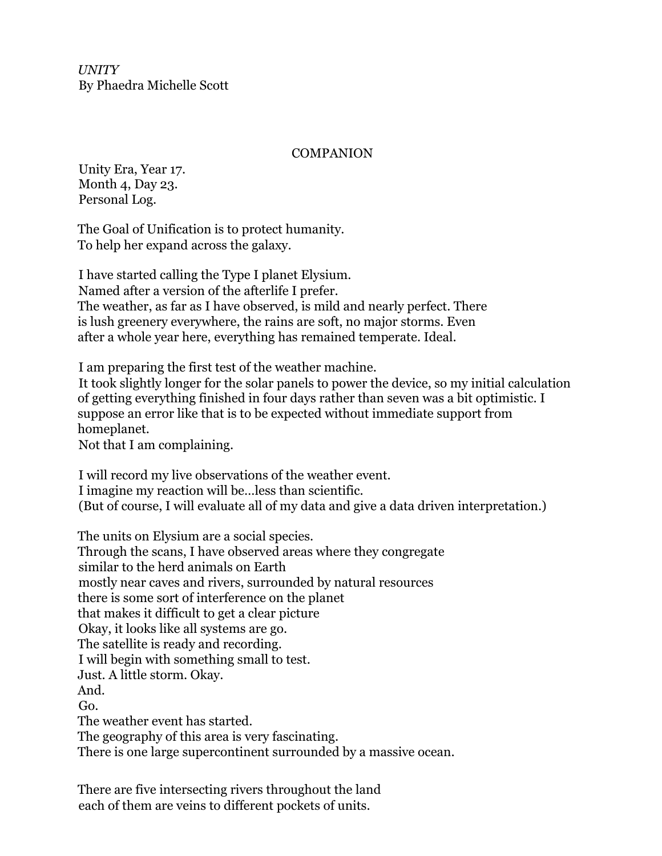*UNITY* By Phaedra Michelle Scott

## **COMPANION**

Unity Era, Year 17. Month 4, Day 23. Personal Log.

The Goal of Unification is to protect humanity. To help her expand across the galaxy.

I have started calling the Type I planet Elysium. Named after a version of the afterlife I prefer. The weather, as far as I have observed, is mild and nearly perfect. There is lush greenery everywhere, the rains are soft, no major storms. Even after a whole year here, everything has remained temperate. Ideal.

I am preparing the first test of the weather machine.

It took slightly longer for the solar panels to power the device, so my initial calculation of getting everything finished in four days rather than seven was a bit optimistic. I suppose an error like that is to be expected without immediate support from homeplanet.

Not that I am complaining.

I will record my live observations of the weather event. I imagine my reaction will be…less than scientific. (But of course, I will evaluate all of my data and give a data driven interpretation.)

The units on Elysium are a social species. Through the scans, I have observed areas where they congregate similar to the herd animals on Earth mostly near caves and rivers, surrounded by natural resources there is some sort of interference on the planet that makes it difficult to get a clear picture Okay, it looks like all systems are go. The satellite is ready and recording. I will begin with something small to test. Just. A little storm. Okay. And. Go. The weather event has started. The geography of this area is very fascinating. There is one large supercontinent surrounded by a massive ocean.

There are five intersecting rivers throughout the land each of them are veins to different pockets of units.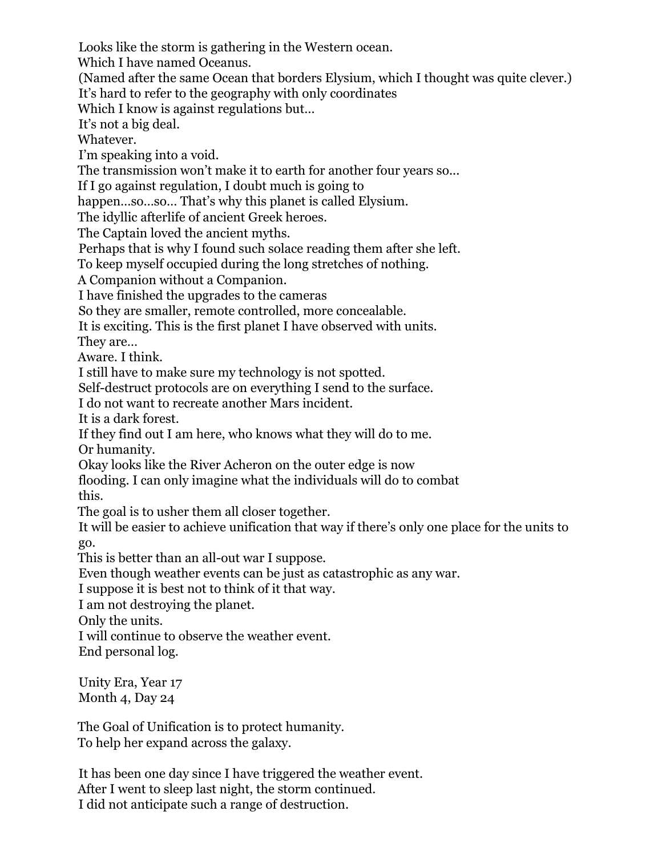Looks like the storm is gathering in the Western ocean.

Which I have named Oceanus.

(Named after the same Ocean that borders Elysium, which I thought was quite clever.)

It's hard to refer to the geography with only coordinates

Which I know is against regulations but...

It's not a big deal.

Whatever.

I'm speaking into a void.

The transmission won't make it to earth for another four years so...

If I go against regulation, I doubt much is going to

happen...so...so... That's why this planet is called Elysium.

The idyllic afterlife of ancient Greek heroes.

The Captain loved the ancient myths.

Perhaps that is why I found such solace reading them after she left.

To keep myself occupied during the long stretches of nothing.

A Companion without a Companion.

I have finished the upgrades to the cameras

So they are smaller, remote controlled, more concealable.

It is exciting. This is the first planet I have observed with units.

They are…

Aware. I think.

I still have to make sure my technology is not spotted.

Self-destruct protocols are on everything I send to the surface.

I do not want to recreate another Mars incident.

It is a dark forest.

If they find out I am here, who knows what they will do to me. Or humanity.

Okay looks like the River Acheron on the outer edge is now

flooding. I can only imagine what the individuals will do to combat this.

The goal is to usher them all closer together.

It will be easier to achieve unification that way if there's only one place for the units to go.

This is better than an all-out war I suppose.

Even though weather events can be just as catastrophic as any war.

I suppose it is best not to think of it that way.

I am not destroying the planet.

Only the units.

I will continue to observe the weather event.

End personal log.

Unity Era, Year 17 Month 4, Day 24

The Goal of Unification is to protect humanity. To help her expand across the galaxy.

It has been one day since I have triggered the weather event. After I went to sleep last night, the storm continued. I did not anticipate such a range of destruction.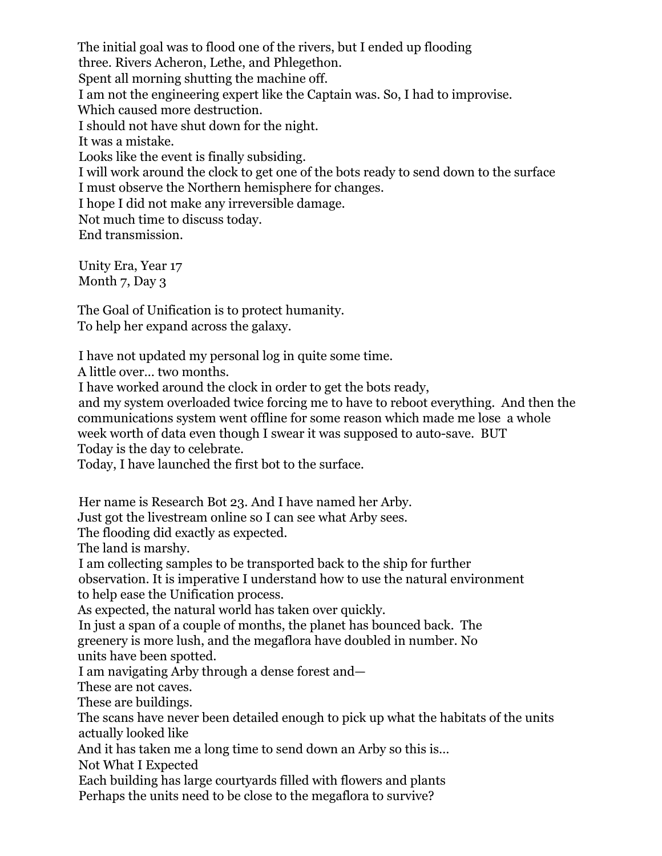The initial goal was to flood one of the rivers, but I ended up flooding three. Rivers Acheron, Lethe, and Phlegethon. Spent all morning shutting the machine off. I am not the engineering expert like the Captain was. So, I had to improvise. Which caused more destruction. I should not have shut down for the night. It was a mistake. Looks like the event is finally subsiding. I will work around the clock to get one of the bots ready to send down to the surface I must observe the Northern hemisphere for changes. I hope I did not make any irreversible damage. Not much time to discuss today. End transmission.

Unity Era, Year 17 Month 7, Day 3

The Goal of Unification is to protect humanity. To help her expand across the galaxy.

I have not updated my personal log in quite some time.

A little over… two months.

I have worked around the clock in order to get the bots ready,

and my system overloaded twice forcing me to have to reboot everything. And then the communications system went offline for some reason which made me lose a whole week worth of data even though I swear it was supposed to auto-save. BUT Today is the day to celebrate.

Today, I have launched the first bot to the surface.

Her name is Research Bot 23. And I have named her Arby.

Just got the livestream online so I can see what Arby sees.

The flooding did exactly as expected.

The land is marshy.

I am collecting samples to be transported back to the ship for further

observation. It is imperative I understand how to use the natural environment to help ease the Unification process.

As expected, the natural world has taken over quickly.

In just a span of a couple of months, the planet has bounced back. The

greenery is more lush, and the megaflora have doubled in number. No units have been spotted.

I am navigating Arby through a dense forest and—

These are not caves.

These are buildings.

The scans have never been detailed enough to pick up what the habitats of the units actually looked like

And it has taken me a long time to send down an Arby so this is…

Not What I Expected

Each building has large courtyards filled with flowers and plants Perhaps the units need to be close to the megaflora to survive?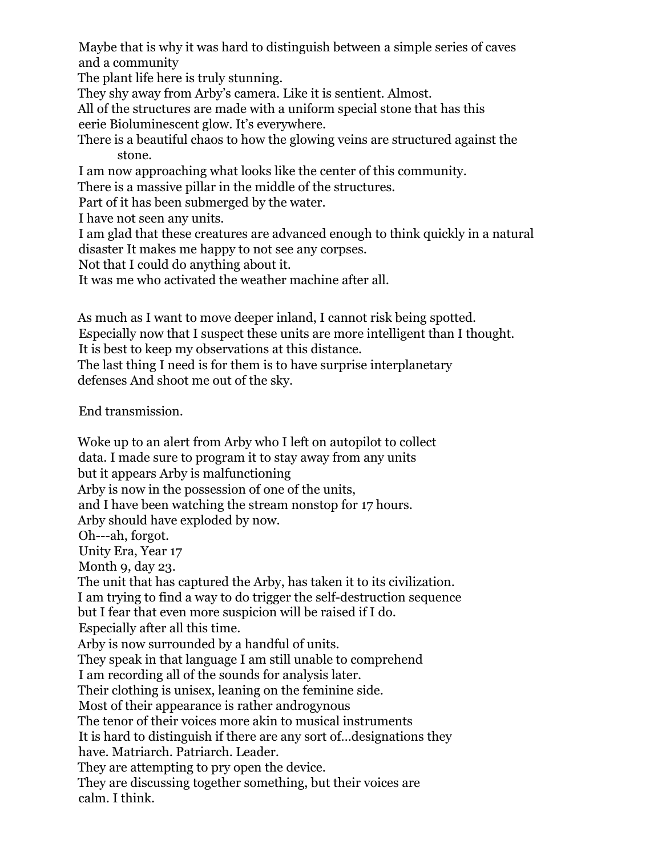Maybe that is why it was hard to distinguish between a simple series of caves and a community

The plant life here is truly stunning.

They shy away from Arby's camera. Like it is sentient. Almost.

All of the structures are made with a uniform special stone that has this eerie Bioluminescent glow. It's everywhere.

There is a beautiful chaos to how the glowing veins are structured against the stone.

I am now approaching what looks like the center of this community.

There is a massive pillar in the middle of the structures.

Part of it has been submerged by the water.

I have not seen any units.

I am glad that these creatures are advanced enough to think quickly in a natural disaster It makes me happy to not see any corpses.

Not that I could do anything about it.

It was me who activated the weather machine after all.

As much as I want to move deeper inland, I cannot risk being spotted. Especially now that I suspect these units are more intelligent than I thought. It is best to keep my observations at this distance.

The last thing I need is for them is to have surprise interplanetary defenses And shoot me out of the sky.

End transmission.

Woke up to an alert from Arby who I left on autopilot to collect data. I made sure to program it to stay away from any units but it appears Arby is malfunctioning Arby is now in the possession of one of the units, and I have been watching the stream nonstop for 17 hours. Arby should have exploded by now. Oh---ah, forgot. Unity Era, Year 17 Month 9, day 23. The unit that has captured the Arby, has taken it to its civilization. I am trying to find a way to do trigger the self-destruction sequence but I fear that even more suspicion will be raised if I do. Especially after all this time. Arby is now surrounded by a handful of units. They speak in that language I am still unable to comprehend I am recording all of the sounds for analysis later. Their clothing is unisex, leaning on the feminine side. Most of their appearance is rather androgynous The tenor of their voices more akin to musical instruments It is hard to distinguish if there are any sort of…designations they have. Matriarch. Patriarch. Leader. They are attempting to pry open the device. They are discussing together something, but their voices are calm. I think.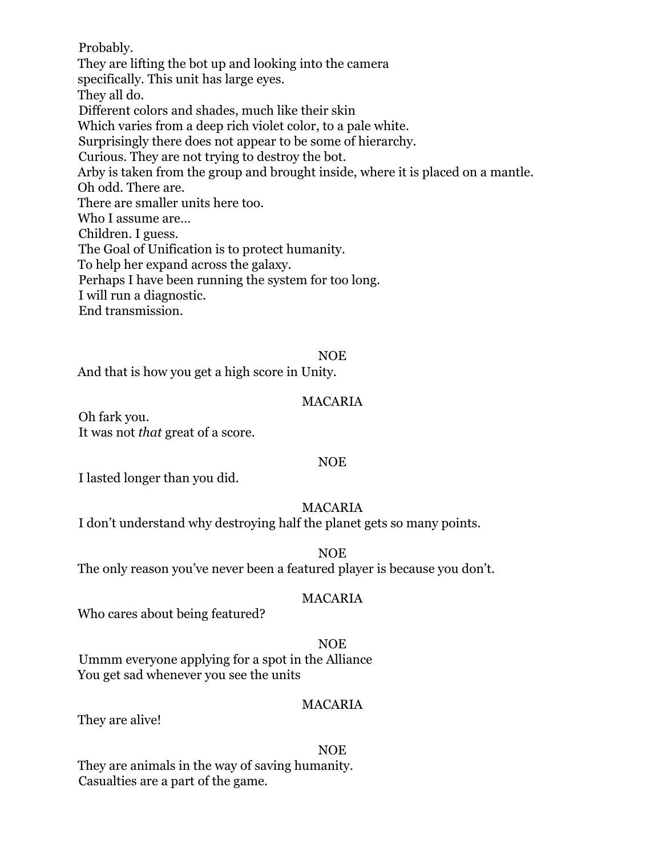Probably. They are lifting the bot up and looking into the camera specifically. This unit has large eyes. They all do. Different colors and shades, much like their skin Which varies from a deep rich violet color, to a pale white. Surprisingly there does not appear to be some of hierarchy. Curious. They are not trying to destroy the bot. Arby is taken from the group and brought inside, where it is placed on a mantle. Oh odd. There are. There are smaller units here too. Who I assume are… Children. I guess. The Goal of Unification is to protect humanity. To help her expand across the galaxy. Perhaps I have been running the system for too long. I will run a diagnostic. End transmission.

#### NOE

And that is how you get a high score in Unity.

#### MACARIA

Oh fark you. It was not *that* great of a score.

#### NOE

I lasted longer than you did.

## MACARIA

I don't understand why destroying half the planet gets so many points.

NOE

The only reason you've never been a featured player is because you don't.

#### MACARIA

Who cares about being featured?

#### NOE

Ummm everyone applying for a spot in the Alliance You get sad whenever you see the units

#### MACARIA

They are alive!

#### NOE

They are animals in the way of saving humanity. Casualties are a part of the game.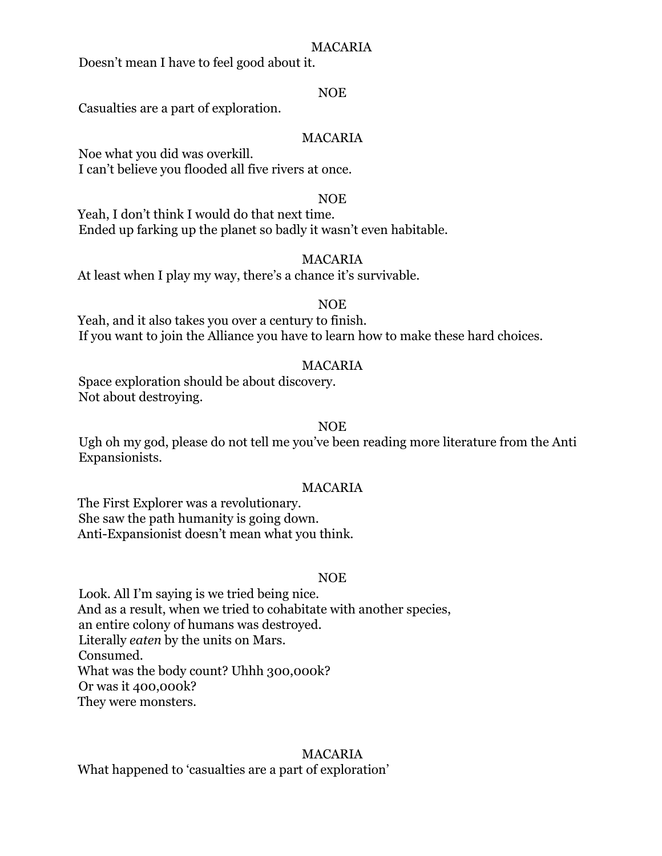## MACARIA

Doesn't mean I have to feel good about it.

## NOE

Casualties are a part of exploration.

## MACARIA

Noe what you did was overkill. I can't believe you flooded all five rivers at once.

#### NOE

Yeah, I don't think I would do that next time. Ended up farking up the planet so badly it wasn't even habitable.

## MACARIA

At least when I play my way, there's a chance it's survivable.

## NOE

Yeah, and it also takes you over a century to finish. If you want to join the Alliance you have to learn how to make these hard choices.

## MACARIA

Space exploration should be about discovery. Not about destroying.

## NOE

Ugh oh my god, please do not tell me you've been reading more literature from the Anti Expansionists.

## MACARIA

The First Explorer was a revolutionary. She saw the path humanity is going down. Anti-Expansionist doesn't mean what you think.

## NOE

Look. All I'm saying is we tried being nice. And as a result, when we tried to cohabitate with another species, an entire colony of humans was destroyed. Literally *eaten* by the units on Mars. Consumed. What was the body count? Uhhh 300,000k? Or was it 400,000k? They were monsters.

## MACARIA

What happened to 'casualties are a part of exploration'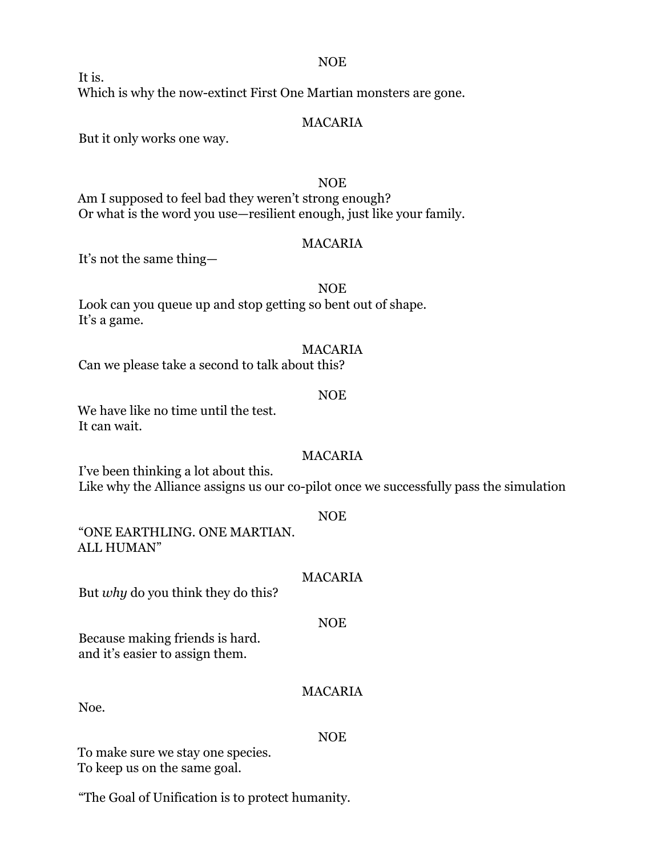NOE

It is. Which is why the now-extinct First One Martian monsters are gone.

## MACARIA

But it only works one way.

## NOE Am I supposed to feel bad they weren't strong enough? Or what is the word you use—resilient enough, just like your family.

## MACARIA

It's not the same thing—

#### NOE

Look can you queue up and stop getting so bent out of shape. It's a game.

#### MACARIA

Can we please take a second to talk about this?

## NOE

We have like no time until the test. It can wait.

## MACARIA

I've been thinking a lot about this. Like why the Alliance assigns us our co-pilot once we successfully pass the simulation

#### NOE

"ONE EARTHLING. ONE MARTIAN. ALL HUMAN"

## MACARIA

NOE

But *why* do you think they do this?

Because making friends is hard. and it's easier to assign them.

Noe.

# NOE

MACARIA

To make sure we stay one species. To keep us on the same goal.

"The Goal of Unification is to protect humanity.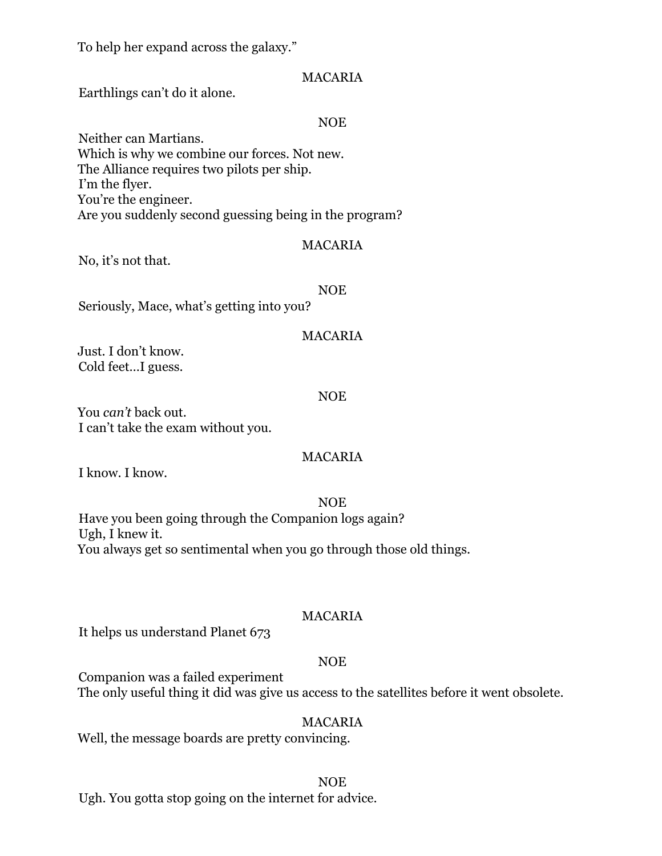To help her expand across the galaxy."

## MACARIA

Earthlings can't do it alone.

## NOE

Neither can Martians. Which is why we combine our forces. Not new. The Alliance requires two pilots per ship. I'm the flyer. You're the engineer. Are you suddenly second guessing being in the program?

## MACARIA

No, it's not that.

NOE

Seriously, Mace, what's getting into you?

## MACARIA

Just. I don't know. Cold feet…I guess.

## NOE

You *can't* back out. I can't take the exam without you.

## MACARIA

I know. I know.

NOE Have you been going through the Companion logs again? Ugh, I knew it. You always get so sentimental when you go through those old things.

## MACARIA

It helps us understand Planet 673

## NOE

Companion was a failed experiment The only useful thing it did was give us access to the satellites before it went obsolete.

## MACARIA

Well, the message boards are pretty convincing.

## NOE

Ugh. You gotta stop going on the internet for advice.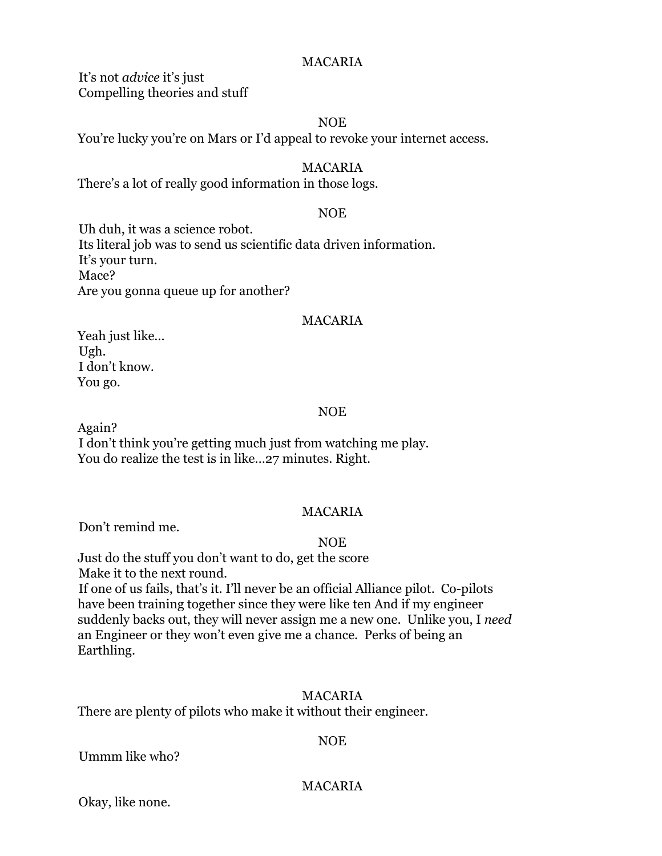## MACARIA

It's not *advice* it's just Compelling theories and stuff

#### NOE

You're lucky you're on Mars or I'd appeal to revoke your internet access.

## MACARIA

There's a lot of really good information in those logs.

## NOE

Uh duh, it was a science robot. Its literal job was to send us scientific data driven information. It's your turn. Mace? Are you gonna queue up for another?

## MACARIA

Yeah just like… Ugh. I don't know. You go.

## NOE

Again?

I don't think you're getting much just from watching me play. You do realize the test is in like…27 minutes. Right.

## MACARIA

Don't remind me.

## NOE

Just do the stuff you don't want to do, get the score Make it to the next round.

If one of us fails, that's it. I'll never be an official Alliance pilot. Co-pilots have been training together since they were like ten And if my engineer suddenly backs out, they will never assign me a new one. Unlike you, I *need* an Engineer or they won't even give me a chance. Perks of being an Earthling.

## MACARIA

There are plenty of pilots who make it without their engineer.

## NOE

Ummm like who?

## MACARIA

Okay, like none.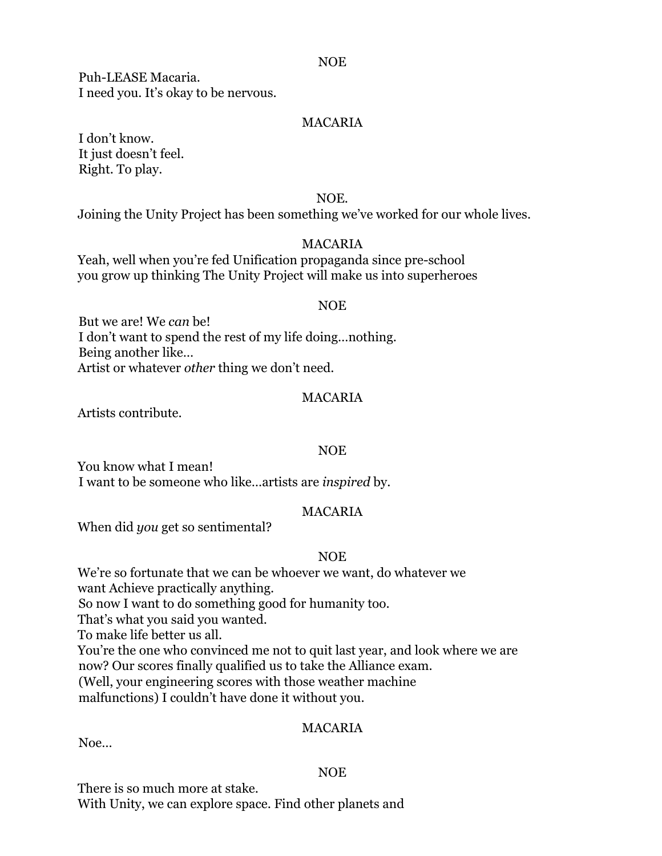#### NOE

Puh-LEASE Macaria. I need you. It's okay to be nervous.

## MACARIA

I don't know. It just doesn't feel. Right. To play.

NOE.

Joining the Unity Project has been something we've worked for our whole lives.

## MACARIA

Yeah, well when you're fed Unification propaganda since pre-school you grow up thinking The Unity Project will make us into superheroes

#### NOE

But we are! We *can* be! I don't want to spend the rest of my life doing…nothing. Being another like… Artist or whatever *other* thing we don't need.

#### MACARIA

Artists contribute.

## NOE

You know what I mean! I want to be someone who like…artists are *inspired* by.

## MACARIA

When did *you* get so sentimental?

## NOE

We're so fortunate that we can be whoever we want, do whatever we want Achieve practically anything. So now I want to do something good for humanity too. That's what you said you wanted. To make life better us all. You're the one who convinced me not to quit last year, and look where we are now? Our scores finally qualified us to take the Alliance exam. (Well, your engineering scores with those weather machine malfunctions) I couldn't have done it without you.

## MACARIA

Noe…

## NOE

There is so much more at stake. With Unity, we can explore space. Find other planets and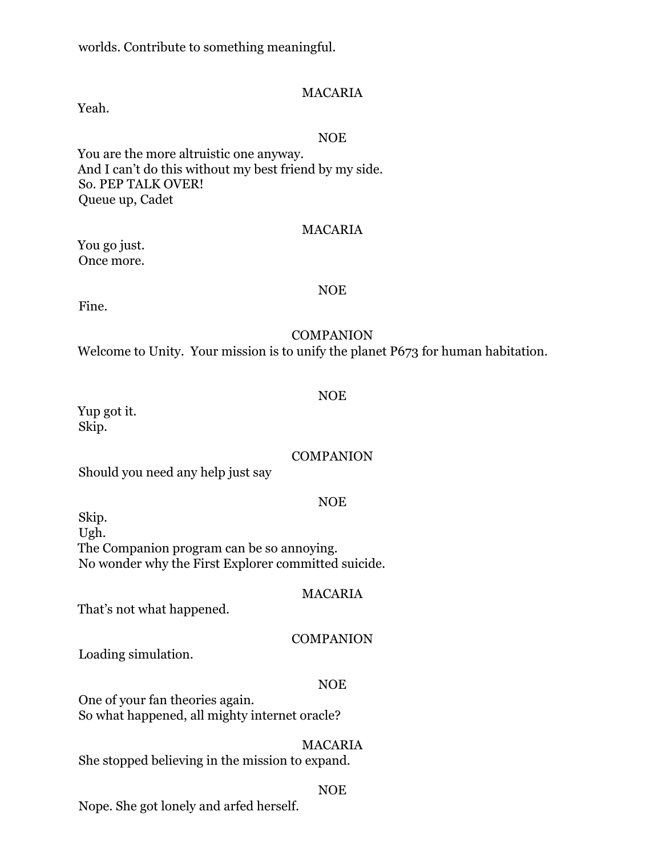worlds. Contribute to something meaningful.

## MACARIA

Yeah.

#### NOE

You are the more altruistic one anyway. And I can't do this without my best friend by my side. So. PEP TALK OVER! Queue up, Cadet

#### MACARIA

You go just. Once more.

#### NOE

Fine.

## **COMPANION**

Welcome to Unity. Your mission is to unify the planet P673 for human habitation.

#### NOE

Yup got it. Skip.

## **COMPANION**

Should you need any help just say

## NOE

Skip. Ugh. The Companion program can be so annoying. No wonder why the First Explorer committed suicide.

## MACARIA

That's not what happened.

## **COMPANION**

Loading simulation.

## NOE

One of your fan theories again. So what happened, all mighty internet oracle?

## MACARIA

She stopped believing in the mission to expand.

## NOE

Nope. She got lonely and arfed herself.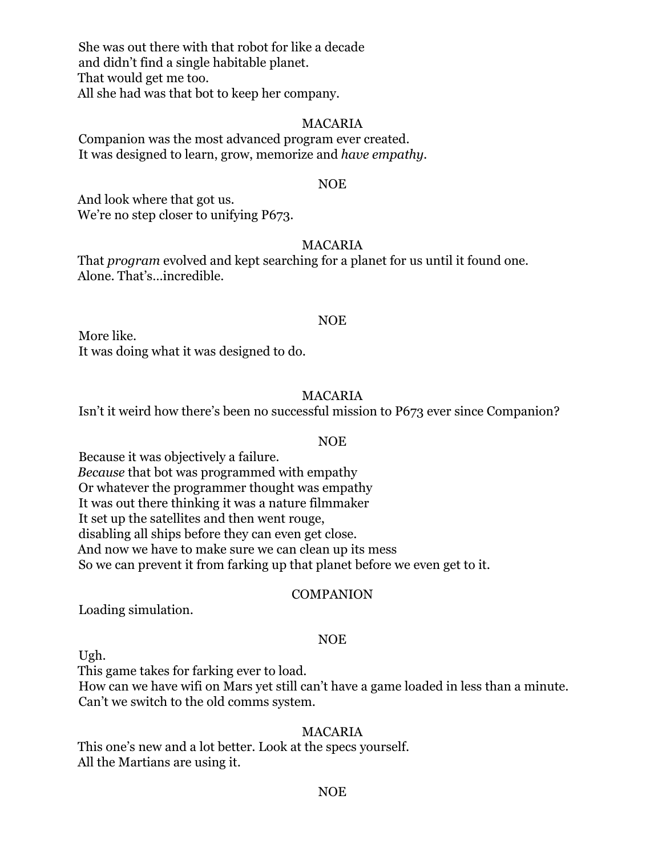She was out there with that robot for like a decade and didn't find a single habitable planet. That would get me too. All she had was that bot to keep her company.

#### MACARIA

Companion was the most advanced program ever created. It was designed to learn, grow, memorize and *have empathy.*

#### NOE

And look where that got us. We're no step closer to unifying P673.

#### MACARIA

That *program* evolved and kept searching for a planet for us until it found one. Alone. That's…incredible.

#### NOE

More like. It was doing what it was designed to do.

#### MACARIA

Isn't it weird how there's been no successful mission to P673 ever since Companion?

#### NOE

Because it was objectively a failure. *Because* that bot was programmed with empathy Or whatever the programmer thought was empathy It was out there thinking it was a nature filmmaker It set up the satellites and then went rouge, disabling all ships before they can even get close. And now we have to make sure we can clean up its mess So we can prevent it from farking up that planet before we even get to it.

#### **COMPANION**

Loading simulation.

#### NOE

Ugh.

This game takes for farking ever to load.

How can we have wifi on Mars yet still can't have a game loaded in less than a minute. Can't we switch to the old comms system.

#### MACARIA

This one's new and a lot better. Look at the specs yourself. All the Martians are using it.

#### NOE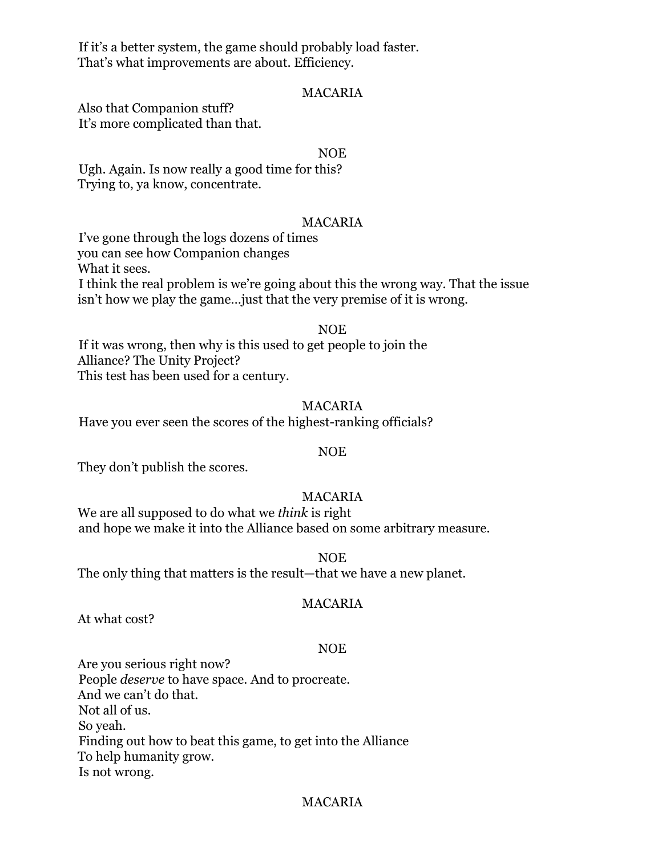If it's a better system, the game should probably load faster. That's what improvements are about. Efficiency.

### MACARIA

Also that Companion stuff? It's more complicated than that.

#### NOE

Ugh. Again. Is now really a good time for this? Trying to, ya know, concentrate.

#### MACARIA

I've gone through the logs dozens of times you can see how Companion changes What it sees. I think the real problem is we're going about this the wrong way. That the issue isn't how we play the game…just that the very premise of it is wrong.

#### NOE

If it was wrong, then why is this used to get people to join the Alliance? The Unity Project? This test has been used for a century.

#### MACARIA

Have you ever seen the scores of the highest-ranking officials?

## NOE

They don't publish the scores.

## MACARIA

We are all supposed to do what we *think* is right and hope we make it into the Alliance based on some arbitrary measure.

NOE

The only thing that matters is the result—that we have a new planet.

## MACARIA

At what cost?

## NOE

Are you serious right now? People *deserve* to have space. And to procreate. And we can't do that. Not all of us. So yeah. Finding out how to beat this game, to get into the Alliance To help humanity grow. Is not wrong.

## MACARIA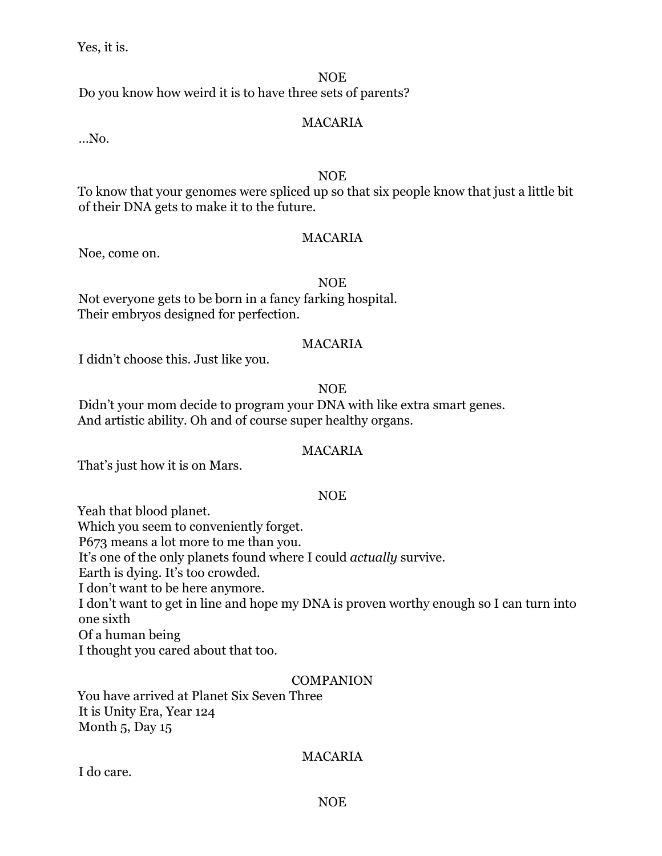Yes, it is.

## NOE

Do you know how weird it is to have three sets of parents?

## MACARIA

…No.

## NOE

To know that your genomes were spliced up so that six people know that just a little bit of their DNA gets to make it to the future.

## MACARIA

Noe, come on.

## NOE

Not everyone gets to be born in a fancy farking hospital. Their embryos designed for perfection.

## MACARIA

I didn't choose this. Just like you.

## NOE

Didn't your mom decide to program your DNA with like extra smart genes. And artistic ability. Oh and of course super healthy organs.

## MACARIA

That's just how it is on Mars.

## NOE

Yeah that blood planet. Which you seem to conveniently forget. P673 means a lot more to me than you. It's one of the only planets found where I could *actually* survive. Earth is dying. It's too crowded. I don't want to be here anymore. I don't want to get in line and hope my DNA is proven worthy enough so I can turn into one sixth Of a human being I thought you cared about that too.

## **COMPANION**

You have arrived at Planet Six Seven Three It is Unity Era, Year 124 Month 5, Day 15

## MACARIA

I do care.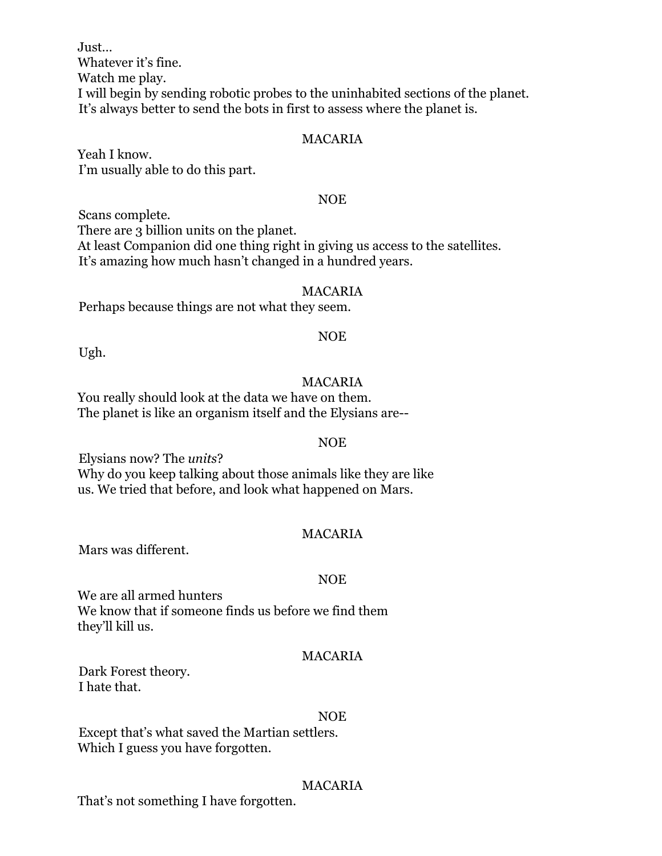Just… Whatever it's fine. Watch me play. I will begin by sending robotic probes to the uninhabited sections of the planet. It's always better to send the bots in first to assess where the planet is.

## MACARIA

Yeah I know. I'm usually able to do this part.

#### NOE

Scans complete. There are 3 billion units on the planet. At least Companion did one thing right in giving us access to the satellites. It's amazing how much hasn't changed in a hundred years.

#### MACARIA

Perhaps because things are not what they seem.

#### NOE

Ugh.

#### MACARIA

You really should look at the data we have on them. The planet is like an organism itself and the Elysians are--

#### NOE

Elysians now? The *units*? Why do you keep talking about those animals like they are like us. We tried that before, and look what happened on Mars.

## MACARIA

Mars was different.

#### NOE

We are all armed hunters We know that if someone finds us before we find them they'll kill us.

#### MACARIA

Dark Forest theory. I hate that.

#### NOE

Except that's what saved the Martian settlers. Which I guess you have forgotten.

#### MACARIA

That's not something I have forgotten.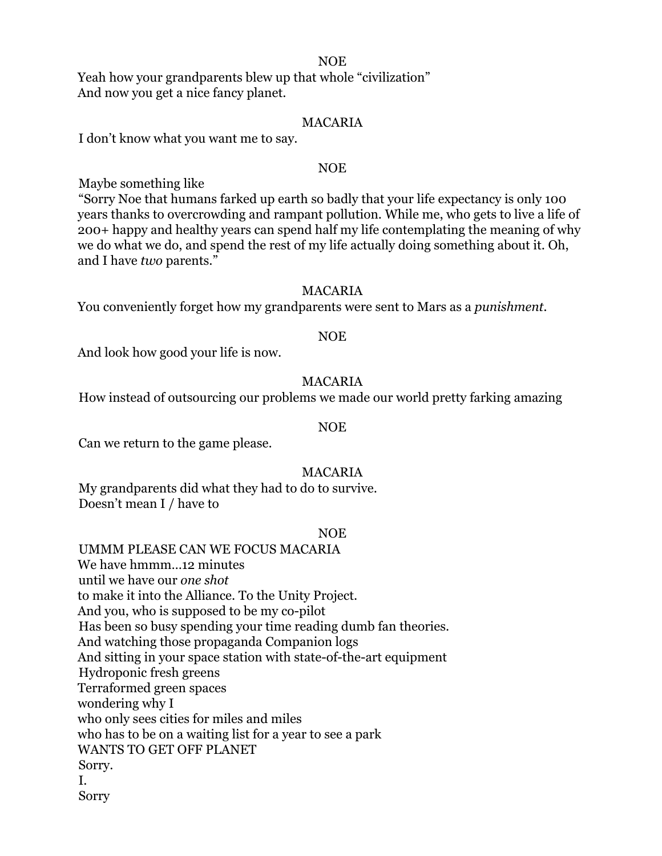#### NOE

Yeah how your grandparents blew up that whole "civilization" And now you get a nice fancy planet.

#### MACARIA

I don't know what you want me to say.

#### NOE

Maybe something like

"Sorry Noe that humans farked up earth so badly that your life expectancy is only 100 years thanks to overcrowding and rampant pollution. While me, who gets to live a life of 200+ happy and healthy years can spend half my life contemplating the meaning of why we do what we do, and spend the rest of my life actually doing something about it. Oh, and I have *two* parents."

#### MACARIA

You conveniently forget how my grandparents were sent to Mars as a *punishment.*

#### NOE

And look how good your life is now.

#### MACARIA

How instead of outsourcing our problems we made our world pretty farking amazing

## NOE

Can we return to the game please.

#### MACARIA

My grandparents did what they had to do to survive. Doesn't mean I / have to

#### NOE

UMMM PLEASE CAN WE FOCUS MACARIA We have hmmm…12 minutes until we have our *one shot* to make it into the Alliance. To the Unity Project. And you, who is supposed to be my co-pilot Has been so busy spending your time reading dumb fan theories. And watching those propaganda Companion logs And sitting in your space station with state-of-the-art equipment Hydroponic fresh greens Terraformed green spaces wondering why I who only sees cities for miles and miles who has to be on a waiting list for a year to see a park WANTS TO GET OFF PLANET Sorry. I. Sorry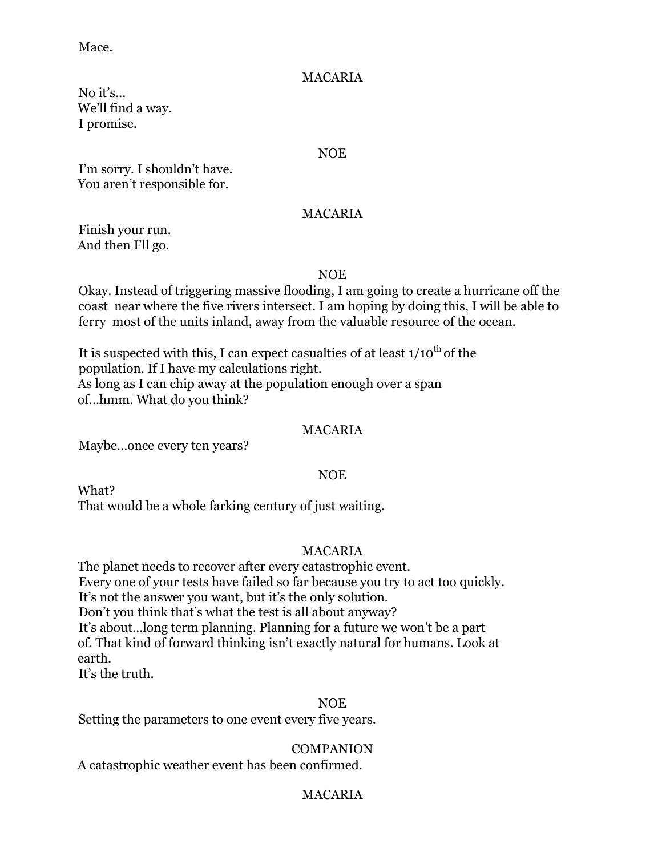Mace.

## MACARIA

No it's… We'll find a way. I promise.

#### NOE

I'm sorry. I shouldn't have. You aren't responsible for.

## MACARIA

Finish your run. And then I'll go.

## NOE

Okay. Instead of triggering massive flooding, I am going to create a hurricane off the coast near where the five rivers intersect. I am hoping by doing this, I will be able to ferry most of the units inland, away from the valuable resource of the ocean.

It is suspected with this, I can expect casualties of at least  $1/10^{th}$  of the population. If I have my calculations right. As long as I can chip away at the population enough over a span of…hmm. What do you think?

## MACARIA

Maybe…once every ten years?

## NOE

What? That would be a whole farking century of just waiting.

## MACARIA

The planet needs to recover after every catastrophic event. Every one of your tests have failed so far because you try to act too quickly. It's not the answer you want, but it's the only solution. Don't you think that's what the test is all about anyway? It's about…long term planning. Planning for a future we won't be a part of. That kind of forward thinking isn't exactly natural for humans. Look at earth.

It's the truth.

## NOE

Setting the parameters to one event every five years.

## COMPANION

A catastrophic weather event has been confirmed.

## MACARIA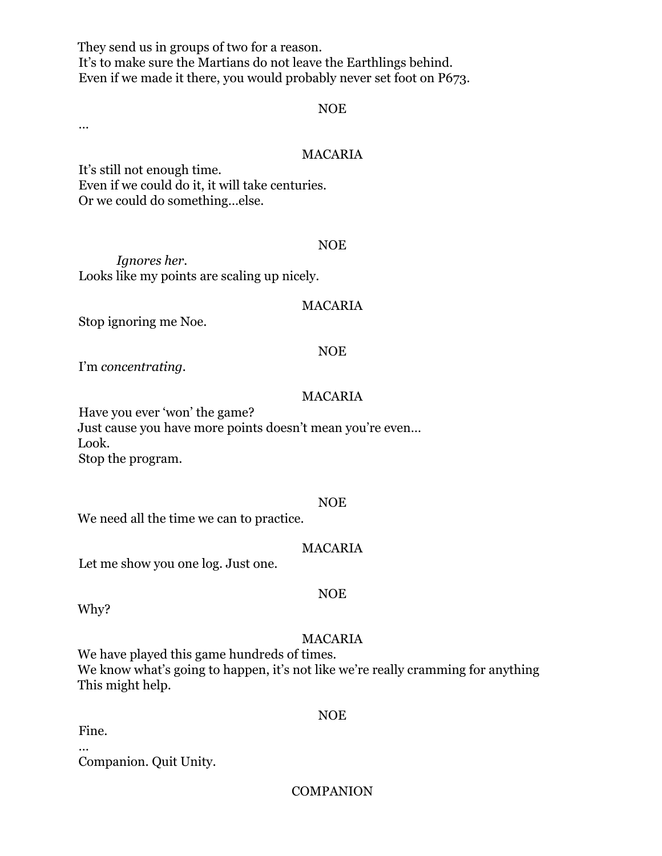They send us in groups of two for a reason. It's to make sure the Martians do not leave the Earthlings behind. Even if we made it there, you would probably never set foot on P673.

#### NOE

…

## MACARIA

It's still not enough time. Even if we could do it, it will take centuries. Or we could do something…else.

#### NOE

*Ignores her.* Looks like my points are scaling up nicely.

#### MACARIA

Stop ignoring me Noe.

#### NOE

I'm *concentrating.*

#### MACARIA

Have you ever 'won' the game? Just cause you have more points doesn't mean you're even… Look. Stop the program.

#### NOE

We need all the time we can to practice.

#### MACARIA

Let me show you one log. Just one.

Why?

#### MACARIA

NOE

We have played this game hundreds of times. We know what's going to happen, it's not like we're really cramming for anything This might help.

NOE

Fine.

…

Companion. Quit Unity.

## **COMPANION**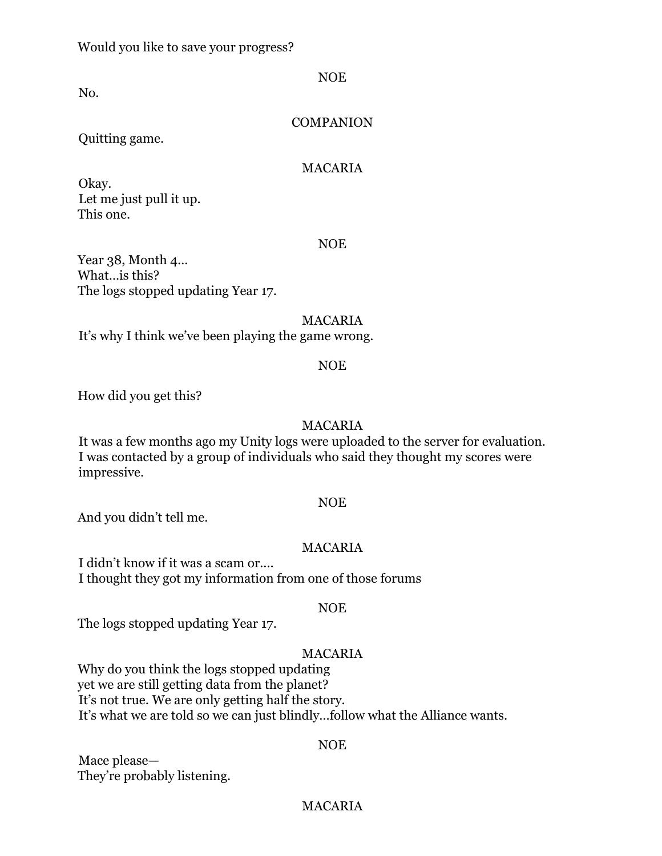No.

NOE

## **COMPANION**

Quitting game.

#### MACARIA

Okay. Let me just pull it up. This one.

#### NOE

Year 38, Month 4… What…is this? The logs stopped updating Year 17.

#### MACARIA

It's why I think we've been playing the game wrong.

#### NOE

How did you get this?

#### MACARIA

It was a few months ago my Unity logs were uploaded to the server for evaluation. I was contacted by a group of individuals who said they thought my scores were impressive.

#### NOE

And you didn't tell me.

## MACARIA

I didn't know if it was a scam or.... I thought they got my information from one of those forums

#### NOE

The logs stopped updating Year 17.

## MACARIA

Why do you think the logs stopped updating yet we are still getting data from the planet? It's not true. We are only getting half the story. It's what we are told so we can just blindly…follow what the Alliance wants.

## NOE

Mace please— They're probably listening.

## MACARIA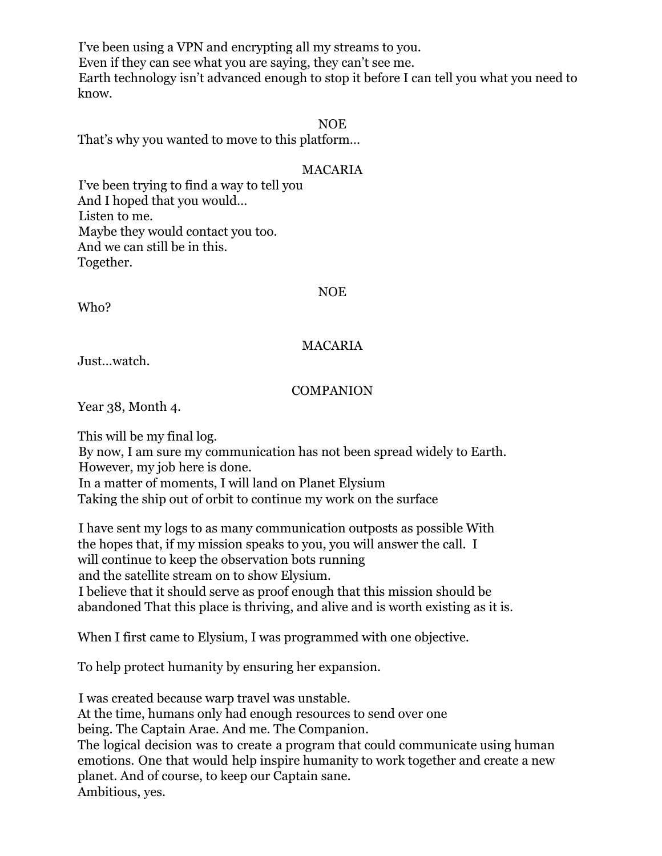I've been using a VPN and encrypting all my streams to you. Even if they can see what you are saying, they can't see me. Earth technology isn't advanced enough to stop it before I can tell you what you need to know.

## NOE

That's why you wanted to move to this platform…

## MACARIA

I've been trying to find a way to tell you And I hoped that you would… Listen to me. Maybe they would contact you too. And we can still be in this. Together.

## NOE

Who?

## MACARIA

Just…watch.

## **COMPANION**

Year 38, Month 4.

This will be my final log. By now, I am sure my communication has not been spread widely to Earth.

However, my job here is done. In a matter of moments, I will land on Planet Elysium

Taking the ship out of orbit to continue my work on the surface

I have sent my logs to as many communication outposts as possible With the hopes that, if my mission speaks to you, you will answer the call. I will continue to keep the observation bots running and the satellite stream on to show Elysium. I believe that it should serve as proof enough that this mission should be

abandoned That this place is thriving, and alive and is worth existing as it is.

When I first came to Elysium, I was programmed with one objective.

To help protect humanity by ensuring her expansion.

I was created because warp travel was unstable. At the time, humans only had enough resources to send over one being. The Captain Arae. And me. The Companion. The logical decision was to create a program that could communicate using human emotions. One that would help inspire humanity to work together and create a new planet. And of course, to keep our Captain sane. Ambitious, yes.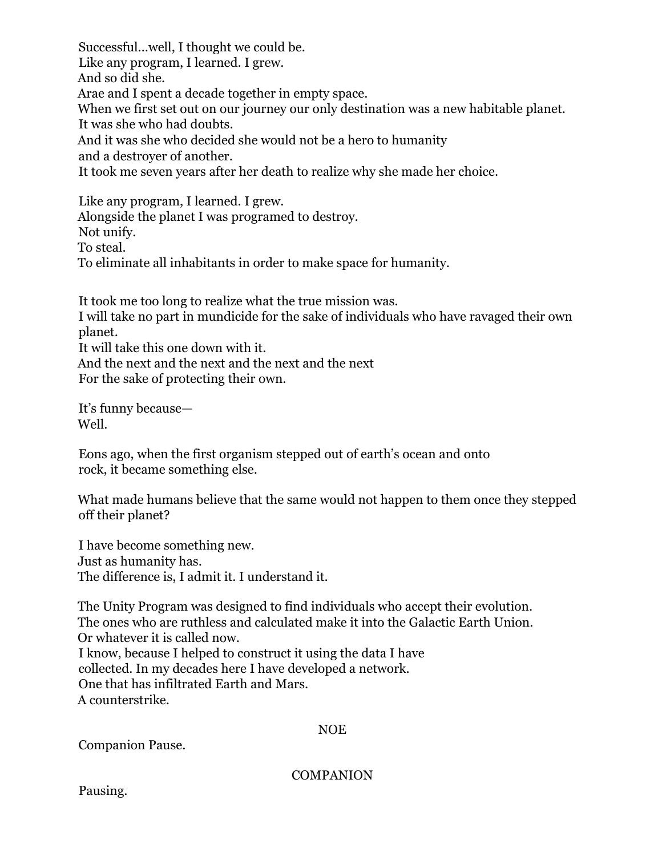Successful…well, I thought we could be. Like any program, I learned. I grew. And so did she. Arae and I spent a decade together in empty space. When we first set out on our journey our only destination was a new habitable planet. It was she who had doubts. And it was she who decided she would not be a hero to humanity and a destroyer of another. It took me seven years after her death to realize why she made her choice.

Like any program, I learned. I grew. Alongside the planet I was programed to destroy. Not unify. To steal. To eliminate all inhabitants in order to make space for humanity.

It took me too long to realize what the true mission was. I will take no part in mundicide for the sake of individuals who have ravaged their own planet. It will take this one down with it. And the next and the next and the next and the next For the sake of protecting their own.

It's funny because— Well.

Eons ago, when the first organism stepped out of earth's ocean and onto rock, it became something else.

What made humans believe that the same would not happen to them once they stepped off their planet?

I have become something new. Just as humanity has. The difference is, I admit it. I understand it.

The Unity Program was designed to find individuals who accept their evolution. The ones who are ruthless and calculated make it into the Galactic Earth Union. Or whatever it is called now. I know, because I helped to construct it using the data I have collected. In my decades here I have developed a network. One that has infiltrated Earth and Mars. A counterstrike.

## NOE

Companion Pause.

**COMPANION**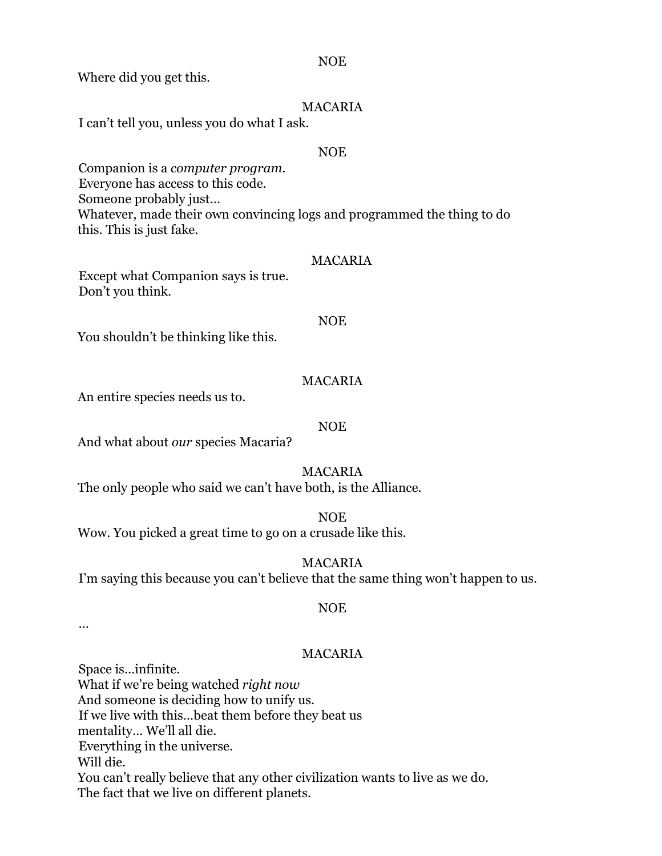Where did you get this.

## MACARIA

I can't tell you, unless you do what I ask.

#### NOE

Companion is a *computer program.* Everyone has access to this code. Someone probably just… Whatever, made their own convincing logs and programmed the thing to do this. This is just fake.

#### MACARIA

Except what Companion says is true. Don't you think.

#### NOE

You shouldn't be thinking like this.

## MACARIA

An entire species needs us to.

#### NOE

And what about *our* species Macaria?

## MACARIA

The only people who said we can't have both, is the Alliance.

NOE Wow. You picked a great time to go on a crusade like this.

MACARIA

I'm saying this because you can't believe that the same thing won't happen to us.

#### NOE

…

## MACARIA

Space is…infinite. What if we're being watched *right now* And someone is deciding how to unify us. If we live with this…beat them before they beat us mentality… We'll all die. Everything in the universe. Will die. You can't really believe that any other civilization wants to live as we do. The fact that we live on different planets.

#### NOE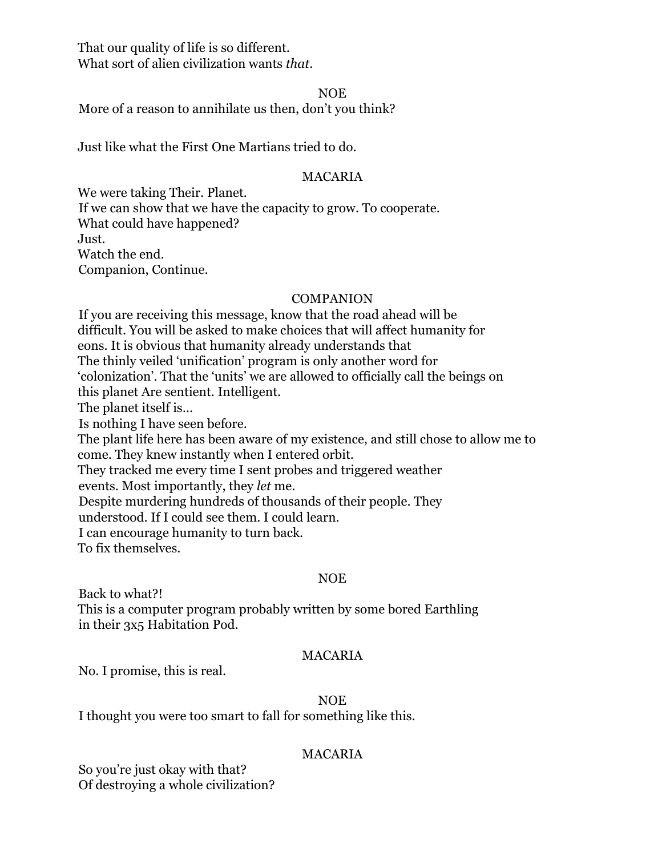That our quality of life is so different. What sort of alien civilization wants *that*.

NOE

More of a reason to annihilate us then, don't you think?

Just like what the First One Martians tried to do.

## MACARIA

We were taking Their. Planet*.* If we can show that we have the capacity to grow. To cooperate. What could have happened? Just. Watch the end. Companion, Continue.

## **COMPANION**

If you are receiving this message, know that the road ahead will be difficult. You will be asked to make choices that will affect humanity for eons. It is obvious that humanity already understands that The thinly veiled 'unification' program is only another word for 'colonization'. That the 'units' we are allowed to officially call the beings on this planet Are sentient. Intelligent. The planet itself is… Is nothing I have seen before. The plant life here has been aware of my existence, and still chose to allow me to come. They knew instantly when I entered orbit. They tracked me every time I sent probes and triggered weather events. Most importantly, they *let* me. Despite murdering hundreds of thousands of their people. They understood. If I could see them. I could learn. I can encourage humanity to turn back. To fix themselves.

## NOE

Back to what?!

This is a computer program probably written by some bored Earthling in their 3x5 Habitation Pod.

## MACARIA

No. I promise, this is real.

## NOE

I thought you were too smart to fall for something like this.

## MACARIA

So you're just okay with that? Of destroying a whole civilization?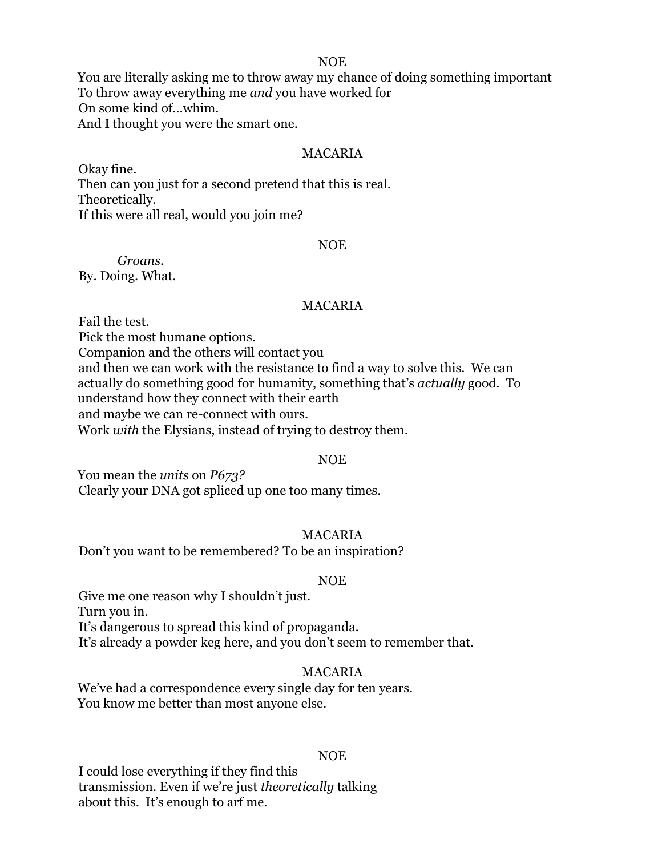#### NOE

You are literally asking me to throw away my chance of doing something important To throw away everything me *and* you have worked for On some kind of…whim. And I thought you were the smart one.

#### MACARIA

Okay fine. Then can you just for a second pretend that this is real. Theoretically. If this were all real, would you join me?

#### NOE

*Groans.* By. Doing. What.

#### MACARIA

Fail the test. Pick the most humane options. Companion and the others will contact you and then we can work with the resistance to find a way to solve this. We can actually do something good for humanity, something that's *actually* good. To understand how they connect with their earth and maybe we can re-connect with ours. Work *with* the Elysians, instead of trying to destroy them.

#### NOE

You mean the *units* on *P673?* Clearly your DNA got spliced up one too many times.

## MACARIA

Don't you want to be remembered? To be an inspiration?

#### NOE

Give me one reason why I shouldn't just. Turn you in. It's dangerous to spread this kind of propaganda. It's already a powder keg here, and you don't seem to remember that.

#### MACARIA

We've had a correspondence every single day for ten years. You know me better than most anyone else.

#### NOE

I could lose everything if they find this transmission. Even if we're just *theoretically* talking about this. It's enough to arf me.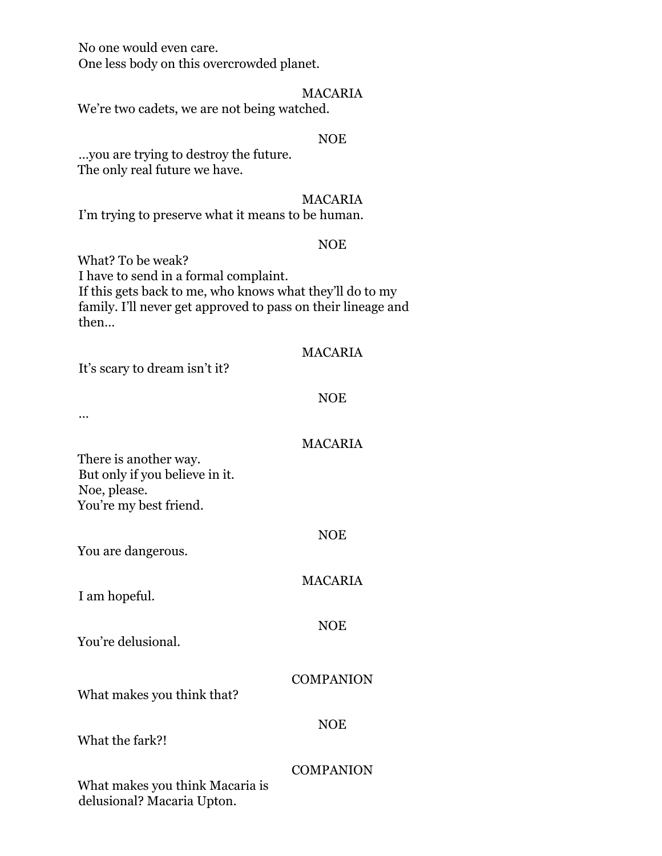No one would even care. One less body on this overcrowded planet.

#### MACARIA

We're two cadets, we are not being watched.

#### NOE

…you are trying to destroy the future. The only real future we have.

#### MACARIA

I'm trying to preserve what it means to be human.

#### NOE

What? To be weak? I have to send in a formal complaint. If this gets back to me, who knows what they'll do to my family. I'll never get approved to pass on their lineage and then…

## MACARIA

It's scary to dream isn't it?

# NOE

MACARIA

NOE

MACARIA

NOE

…

There is another way. But only if you believe in it. Noe, please. You're my best friend.

You are dangerous.

I am hopeful.

You're delusional.

What makes you think that?

What the fark?!

NOE

**COMPANION** 

## **COMPANION**

What makes you think Macaria is delusional? Macaria Upton.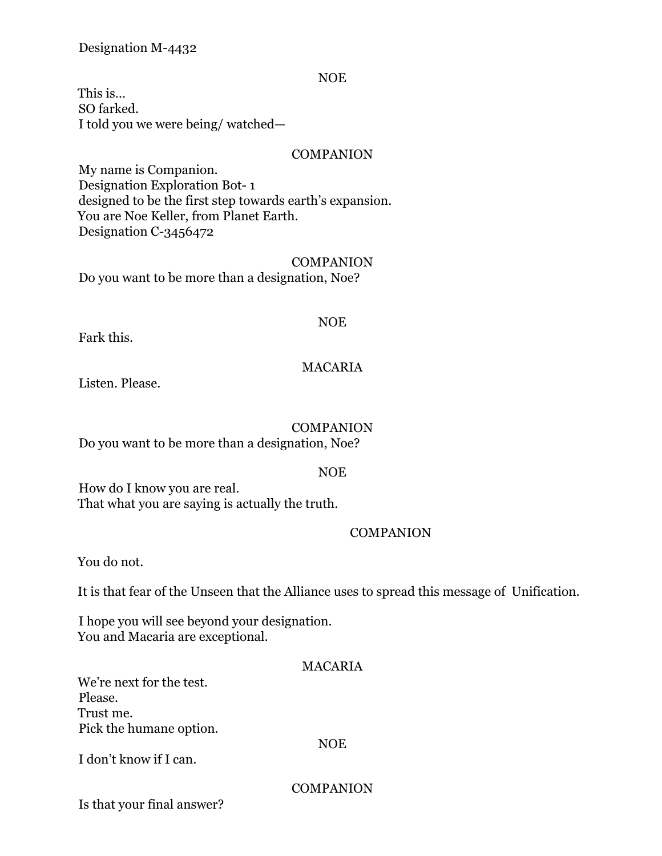## Designation M-4432

#### NOE

This is… SO farked. I told you we were being/ watched—

## COMPANION

My name is Companion. Designation Exploration Bot- 1 designed to be the first step towards earth's expansion. You are Noe Keller, from Planet Earth. Designation C-3456472

#### **COMPANION**

Do you want to be more than a designation, Noe?

#### NOE

Fark this.

## MACARIA

Listen. Please.

#### **COMPANION**

Do you want to be more than a designation, Noe?

#### NOE

How do I know you are real. That what you are saying is actually the truth.

## COMPANION

You do not.

It is that fear of the Unseen that the Alliance uses to spread this message of Unification.

I hope you will see beyond your designation. You and Macaria are exceptional.

# MACARIA

We're next for the test. Please. Trust me. Pick the humane option.

#### NOE

I don't know if I can.

COMPANION

Is that your final answer?